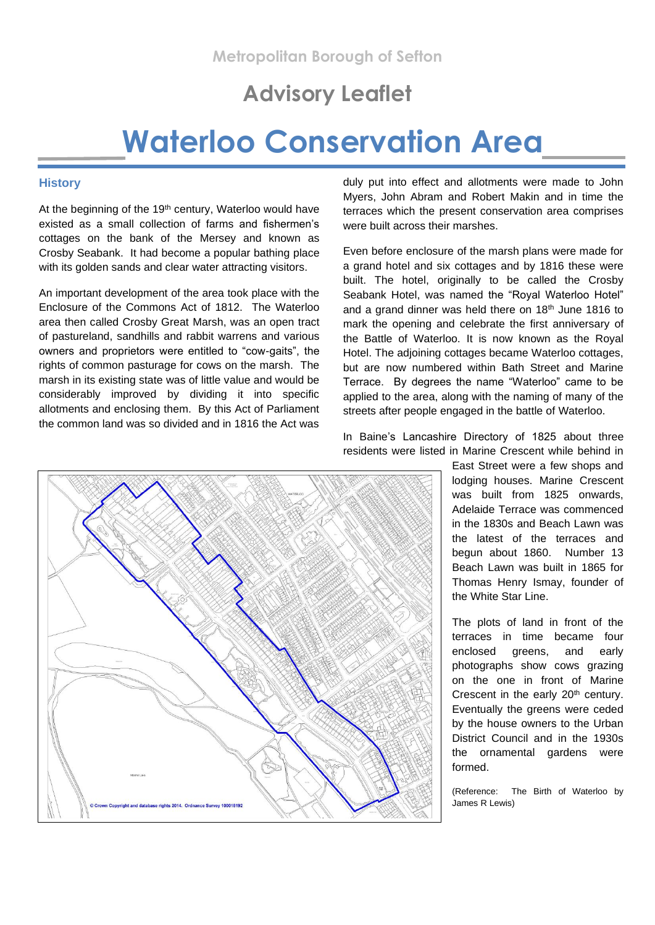# **Advisory Leaflet**

# **Waterloo Conservation Area**

## **History**

At the beginning of the 19<sup>th</sup> century, Waterloo would have existed as a small collection of farms and fishermen's cottages on the bank of the Mersey and known as Crosby Seabank. It had become a popular bathing place with its golden sands and clear water attracting visitors.

An important development of the area took place with the Enclosure of the Commons Act of 1812. The Waterloo area then called Crosby Great Marsh, was an open tract of pastureland, sandhills and rabbit warrens and various owners and proprietors were entitled to "cow-gaits", the rights of common pasturage for cows on the marsh. The marsh in its existing state was of little value and would be considerably improved by dividing it into specific allotments and enclosing them. By this Act of Parliament the common land was so divided and in 1816 the Act was

duly put into effect and allotments were made to John Myers, John Abram and Robert Makin and in time the terraces which the present conservation area comprises were built across their marshes.

Even before enclosure of the marsh plans were made for a grand hotel and six cottages and by 1816 these were built. The hotel, originally to be called the Crosby Seabank Hotel, was named the "Royal Waterloo Hotel" and a grand dinner was held there on 18th June 1816 to mark the opening and celebrate the first anniversary of the Battle of Waterloo. It is now known as the Royal Hotel. The adjoining cottages became Waterloo cottages, but are now numbered within Bath Street and Marine Terrace. By degrees the name "Waterloo" came to be applied to the area, along with the naming of many of the streets after people engaged in the battle of Waterloo.



In Baine's Lancashire Directory of 1825 about three residents were listed in Marine Crescent while behind in

> East Street were a few shops and lodging houses. Marine Crescent was built from 1825 onwards, Adelaide Terrace was commenced in the 1830s and Beach Lawn was the latest of the terraces and begun about 1860. Number 13 Beach Lawn was built in 1865 for Thomas Henry Ismay, founder of the White Star Line.

> The plots of land in front of the terraces in time became four enclosed greens, and early photographs show cows grazing on the one in front of Marine Crescent in the early 20<sup>th</sup> century. Eventually the greens were ceded by the house owners to the Urban District Council and in the 1930s the ornamental gardens were formed.

(Reference: The Birth of Waterloo by James R Lewis)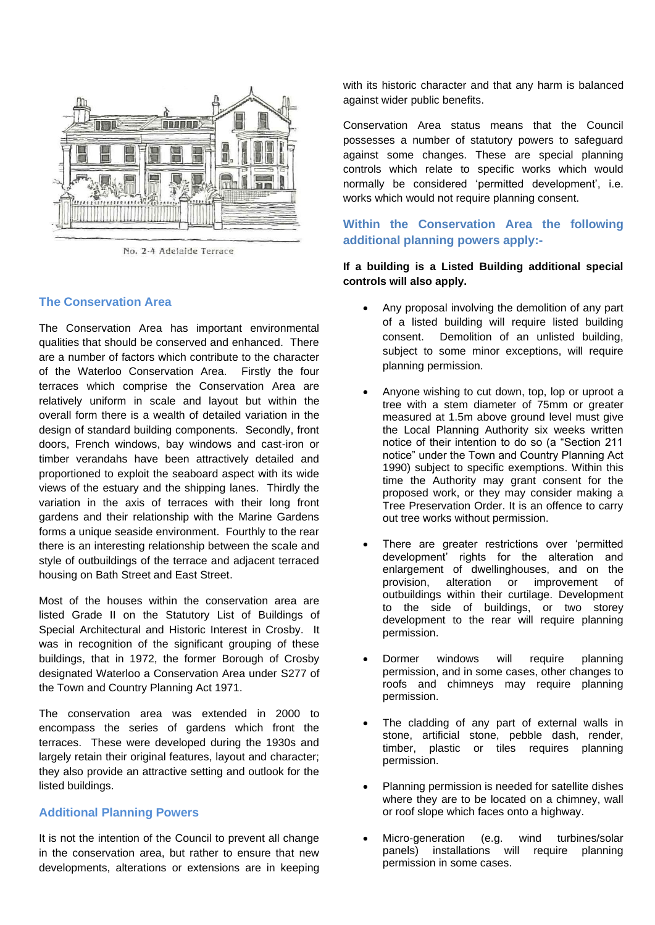

No. 2-4 Adelaide Terrace

# **The Conservation Area**

The Conservation Area has important environmental qualities that should be conserved and enhanced. There are a number of factors which contribute to the character of the Waterloo Conservation Area. Firstly the four terraces which comprise the Conservation Area are relatively uniform in scale and layout but within the overall form there is a wealth of detailed variation in the design of standard building components. Secondly, front doors, French windows, bay windows and cast-iron or timber verandahs have been attractively detailed and proportioned to exploit the seaboard aspect with its wide views of the estuary and the shipping lanes. Thirdly the variation in the axis of terraces with their long front gardens and their relationship with the Marine Gardens forms a unique seaside environment. Fourthly to the rear there is an interesting relationship between the scale and style of outbuildings of the terrace and adjacent terraced housing on Bath Street and East Street.

Most of the houses within the conservation area are listed Grade II on the Statutory List of Buildings of Special Architectural and Historic Interest in Crosby. It was in recognition of the significant grouping of these buildings, that in 1972, the former Borough of Crosby designated Waterloo a Conservation Area under S277 of the Town and Country Planning Act 1971.

The conservation area was extended in 2000 to encompass the series of gardens which front the terraces. These were developed during the 1930s and largely retain their original features, layout and character; they also provide an attractive setting and outlook for the listed buildings.

# **Additional Planning Powers**

It is not the intention of the Council to prevent all change in the conservation area, but rather to ensure that new developments, alterations or extensions are in keeping with its historic character and that any harm is balanced against wider public benefits.

Conservation Area status means that the Council possesses a number of statutory powers to safeguard against some changes. These are special planning controls which relate to specific works which would normally be considered 'permitted development', i.e. works which would not require planning consent.

# **Within the Conservation Area the following additional planning powers apply:-**

# **If a building is a Listed Building additional special controls will also apply.**

- Any proposal involving the demolition of any part of a listed building will require listed building consent. Demolition of an unlisted building, subject to some minor exceptions, will require planning permission.
- Anyone wishing to cut down, top, lop or uproot a tree with a stem diameter of 75mm or greater measured at 1.5m above ground level must give the Local Planning Authority six weeks written notice of their intention to do so (a "Section 211 notice" under the Town and Country Planning Act 1990) subject to specific exemptions. Within this time the Authority may grant consent for the proposed work, or they may consider making a Tree Preservation Order. It is an offence to carry out tree works without permission.
- There are greater restrictions over 'permitted development' rights for the alteration and enlargement of dwellinghouses, and on the provision, alteration or improvement of outbuildings within their curtilage. Development to the side of buildings, or two storey development to the rear will require planning permission.
- Dormer windows will require planning permission, and in some cases, other changes to roofs and chimneys may require planning permission.
- The cladding of any part of external walls in stone, artificial stone, pebble dash, render, timber, plastic or tiles requires planning permission.
- Planning permission is needed for satellite dishes where they are to be located on a chimney, wall or roof slope which faces onto a highway.
- Micro-generation (e.g. wind turbines/solar panels) installations will require planning permission in some cases.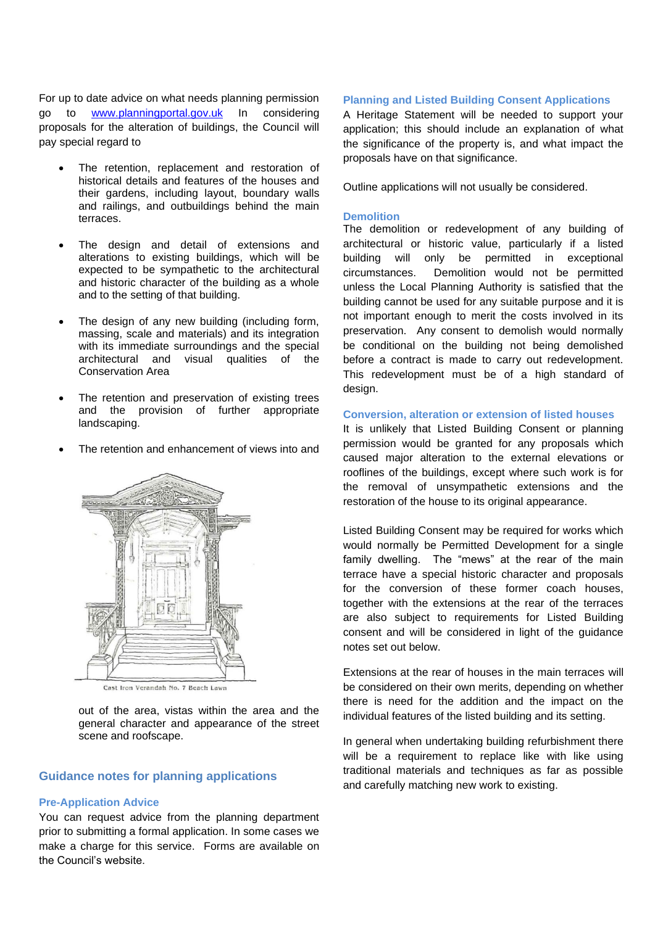For up to date advice on what needs planning permission go to [www.planningportal.gov.uk](http://www.planningportal.gov.uk/) In considering proposals for the alteration of buildings, the Council will pay special regard to

- The retention, replacement and restoration of historical details and features of the houses and their gardens, including layout, boundary walls and railings, and outbuildings behind the main terraces.
- The design and detail of extensions and alterations to existing buildings, which will be expected to be sympathetic to the architectural and historic character of the building as a whole and to the setting of that building.
- The design of any new building (including form, massing, scale and materials) and its integration with its immediate surroundings and the special architectural and visual qualities of the Conservation Area
- The retention and preservation of existing trees and the provision of further appropriate landscaping.
- The retention and enhancement of views into and



Cast Iron Verandah No. 7 Beach Lawn

out of the area, vistas within the area and the general character and appearance of the street scene and roofscape.

# **Guidance notes for planning applications**

#### **Pre-Application Advice**

You can request advice from the planning department prior to submitting a formal application. In some cases we make a charge for this service. Forms are available on the Council's website.

#### **Planning and Listed Building Consent Applications**

A Heritage Statement will be needed to support your application; this should include an explanation of what the significance of the property is, and what impact the proposals have on that significance.

Outline applications will not usually be considered.

#### **Demolition**

The demolition or redevelopment of any building of architectural or historic value, particularly if a listed building will only be permitted in exceptional circumstances. Demolition would not be permitted unless the Local Planning Authority is satisfied that the building cannot be used for any suitable purpose and it is not important enough to merit the costs involved in its preservation. Any consent to demolish would normally be conditional on the building not being demolished before a contract is made to carry out redevelopment. This redevelopment must be of a high standard of design.

# **Conversion, alteration or extension of listed houses**

It is unlikely that Listed Building Consent or planning permission would be granted for any proposals which caused major alteration to the external elevations or rooflines of the buildings, except where such work is for the removal of unsympathetic extensions and the restoration of the house to its original appearance.

Listed Building Consent may be required for works which would normally be Permitted Development for a single family dwelling. The "mews" at the rear of the main terrace have a special historic character and proposals for the conversion of these former coach houses, together with the extensions at the rear of the terraces are also subject to requirements for Listed Building consent and will be considered in light of the guidance notes set out below.

Extensions at the rear of houses in the main terraces will be considered on their own merits, depending on whether there is need for the addition and the impact on the individual features of the listed building and its setting.

In general when undertaking building refurbishment there will be a requirement to replace like with like using traditional materials and techniques as far as possible and carefully matching new work to existing.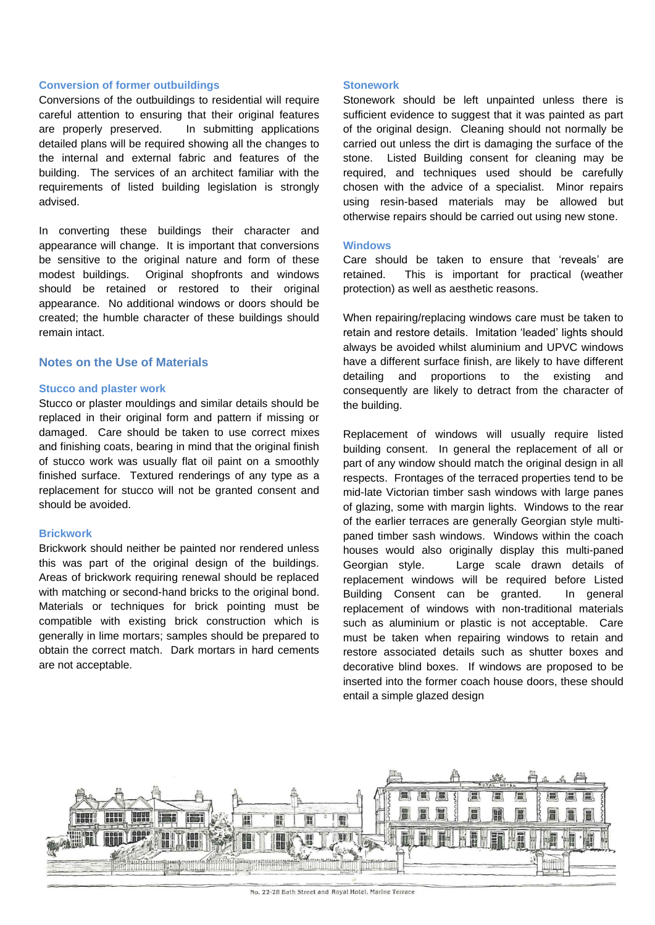#### **Conversion of former outbuildings**

Conversions of the outbuildings to residential will require careful attention to ensuring that their original features are properly preserved. In submitting applications detailed plans will be required showing all the changes to the internal and external fabric and features of the building. The services of an architect familiar with the requirements of listed building legislation is strongly advised.

In converting these buildings their character and appearance will change. It is important that conversions be sensitive to the original nature and form of these modest buildings. Original shopfronts and windows should be retained or restored to their original appearance. No additional windows or doors should be created; the humble character of these buildings should remain intact.

# **Notes on the Use of Materials**

#### **Stucco and plaster work**

Stucco or plaster mouldings and similar details should be replaced in their original form and pattern if missing or damaged. Care should be taken to use correct mixes and finishing coats, bearing in mind that the original finish of stucco work was usually flat oil paint on a smoothly finished surface. Textured renderings of any type as a replacement for stucco will not be granted consent and should be avoided.

#### **Brickwork**

Brickwork should neither be painted nor rendered unless this was part of the original design of the buildings. Areas of brickwork requiring renewal should be replaced with matching or second-hand bricks to the original bond. Materials or techniques for brick pointing must be compatible with existing brick construction which is generally in lime mortars; samples should be prepared to obtain the correct match. Dark mortars in hard cements are not acceptable.

#### **Stonework**

Stonework should be left unpainted unless there is sufficient evidence to suggest that it was painted as part of the original design. Cleaning should not normally be carried out unless the dirt is damaging the surface of the stone. Listed Building consent for cleaning may be required, and techniques used should be carefully chosen with the advice of a specialist. Minor repairs using resin-based materials may be allowed but otherwise repairs should be carried out using new stone.

#### **Windows**

Care should be taken to ensure that 'reveals' are retained. This is important for practical (weather protection) as well as aesthetic reasons.

When repairing/replacing windows care must be taken to retain and restore details. Imitation 'leaded' lights should always be avoided whilst aluminium and UPVC windows have a different surface finish, are likely to have different detailing and proportions to the existing and consequently are likely to detract from the character of the building.

Replacement of windows will usually require listed building consent. In general the replacement of all or part of any window should match the original design in all respects. Frontages of the terraced properties tend to be mid-late Victorian timber sash windows with large panes of glazing, some with margin lights. Windows to the rear of the earlier terraces are generally Georgian style multipaned timber sash windows. Windows within the coach houses would also originally display this multi-paned Georgian style. Large scale drawn details of replacement windows will be required before Listed Building Consent can be granted. In general replacement of windows with non-traditional materials such as aluminium or plastic is not acceptable. Care must be taken when repairing windows to retain and restore associated details such as shutter boxes and decorative blind boxes. If windows are proposed to be inserted into the former coach house doors, these should entail a simple glazed design



No. 22-28 Bath Street and Royal Hotel, Marine Terrace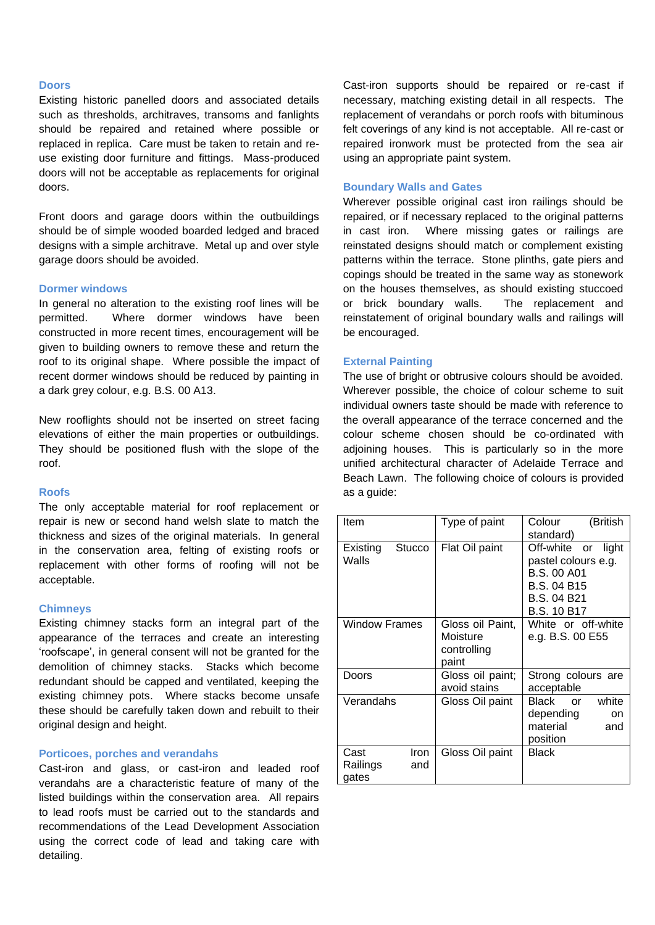#### **Doors**

Existing historic panelled doors and associated details such as thresholds, architraves, transoms and fanlights should be repaired and retained where possible or replaced in replica. Care must be taken to retain and reuse existing door furniture and fittings. Mass-produced doors will not be acceptable as replacements for original doors.

Front doors and garage doors within the outbuildings should be of simple wooded boarded ledged and braced designs with a simple architrave. Metal up and over style garage doors should be avoided.

#### **Dormer windows**

In general no alteration to the existing roof lines will be permitted. Where dormer windows have been constructed in more recent times, encouragement will be given to building owners to remove these and return the roof to its original shape. Where possible the impact of recent dormer windows should be reduced by painting in a dark grey colour, e.g. B.S. 00 A13.

New rooflights should not be inserted on street facing elevations of either the main properties or outbuildings. They should be positioned flush with the slope of the roof.

#### **Roofs**

The only acceptable material for roof replacement or repair is new or second hand welsh slate to match the thickness and sizes of the original materials. In general in the conservation area, felting of existing roofs or replacement with other forms of roofing will not be acceptable.

#### **Chimneys**

Existing chimney stacks form an integral part of the appearance of the terraces and create an interesting 'roofscape', in general consent will not be granted for the demolition of chimney stacks. Stacks which become redundant should be capped and ventilated, keeping the existing chimney pots. Where stacks become unsafe these should be carefully taken down and rebuilt to their original design and height.

#### **Porticoes, porches and verandahs**

Cast-iron and glass, or cast-iron and leaded roof verandahs are a characteristic feature of many of the listed buildings within the conservation area. All repairs to lead roofs must be carried out to the standards and recommendations of the Lead Development Association using the correct code of lead and taking care with detailing.

Cast-iron supports should be repaired or re-cast if necessary, matching existing detail in all respects. The replacement of verandahs or porch roofs with bituminous felt coverings of any kind is not acceptable. All re-cast or repaired ironwork must be protected from the sea air using an appropriate paint system.

#### **Boundary Walls and Gates**

Wherever possible original cast iron railings should be repaired, or if necessary replaced to the original patterns in cast iron. Where missing gates or railings are reinstated designs should match or complement existing patterns within the terrace. Stone plinths, gate piers and copings should be treated in the same way as stonework on the houses themselves, as should existing stuccoed or brick boundary walls. The replacement and reinstatement of original boundary walls and railings will be encouraged.

#### **External Painting**

The use of bright or obtrusive colours should be avoided. Wherever possible, the choice of colour scheme to suit individual owners taste should be made with reference to the overall appearance of the terrace concerned and the colour scheme chosen should be co-ordinated with adjoining houses. This is particularly so in the more unified architectural character of Adelaide Terrace and Beach Lawn. The following choice of colours is provided as a guide:

| Item                      |               | Type of paint                                        | Colour<br>(British<br>standard)                                                                                            |
|---------------------------|---------------|------------------------------------------------------|----------------------------------------------------------------------------------------------------------------------------|
| Existing<br>Walls         | <b>Stucco</b> | Flat Oil paint                                       | Off-white or light<br>pastel colours e.g.<br><b>B.S. 00 A01</b><br><b>B.S. 04 B15</b><br>B.S. 04 B21<br><b>B.S. 10 B17</b> |
| Window Frames             |               | Gloss oil Paint,<br>Moisture<br>controlling<br>paint | White or off-white<br>e.g. B.S. 00 E55                                                                                     |
| Doors                     |               | Gloss oil paint;<br>avoid stains                     | Strong colours are<br>acceptable                                                                                           |
| Verandahs                 |               | Gloss Oil paint                                      | Black or<br>white<br>depending<br>on<br>material<br>and<br>position                                                        |
| Cast<br>Railings<br>gates | Iron<br>and   | Gloss Oil paint                                      | <b>Black</b>                                                                                                               |